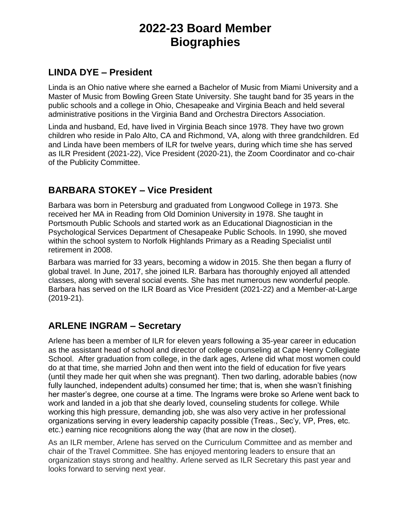# **2022-23 Board Member Biographies**

#### **LINDA DYE – President**

Linda is an Ohio native where she earned a Bachelor of Music from Miami University and a Master of Music from Bowling Green State University. She taught band for 35 years in the public schools and a college in Ohio, Chesapeake and Virginia Beach and held several administrative positions in the Virginia Band and Orchestra Directors Association.

Linda and husband, Ed, have lived in Virginia Beach since 1978. They have two grown children who reside in Palo Alto, CA and Richmond, VA, along with three grandchildren. Ed and Linda have been members of ILR for twelve years, during which time she has served as ILR President (2021-22), Vice President (2020-21), the Zoom Coordinator and co-chair of the Publicity Committee.

## **BARBARA STOKEY – Vice President**

Barbara was born in Petersburg and graduated from Longwood College in 1973. She received her MA in Reading from Old Dominion University in 1978. She taught in Portsmouth Public Schools and started work as an Educational Diagnostician in the Psychological Services Department of Chesapeake Public Schools. In 1990, she moved within the school system to Norfolk Highlands Primary as a Reading Specialist until retirement in 2008.

Barbara was married for 33 years, becoming a widow in 2015. She then began a flurry of global travel. In June, 2017, she joined ILR. Barbara has thoroughly enjoyed all attended classes, along with several social events. She has met numerous new wonderful people. Barbara has served on the ILR Board as Vice President (2021-22) and a Member-at-Large (2019-21).

## **ARLENE INGRAM – Secretary**

Arlene has been a member of ILR for eleven years following a 35-year career in education as the assistant head of school and director of college counseling at Cape Henry Collegiate School. After graduation from college, in the dark ages, Arlene did what most women could do at that time, she married John and then went into the field of education for five years (until they made her quit when she was pregnant). Then two darling, adorable babies (now fully launched, independent adults) consumed her time; that is, when she wasn't finishing her master's degree, one course at a time. The Ingrams were broke so Arlene went back to work and landed in a job that she dearly loved, counseling students for college. While working this high pressure, demanding job, she was also very active in her professional organizations serving in every leadership capacity possible (Treas., Sec'y, VP, Pres, etc. etc.) earning nice recognitions along the way (that are now in the closet).

As an ILR member, Arlene has served on the Curriculum Committee and as member and chair of the Travel Committee. She has enjoyed mentoring leaders to ensure that an organization stays strong and healthy. Arlene served as ILR Secretary this past year and looks forward to serving next year.